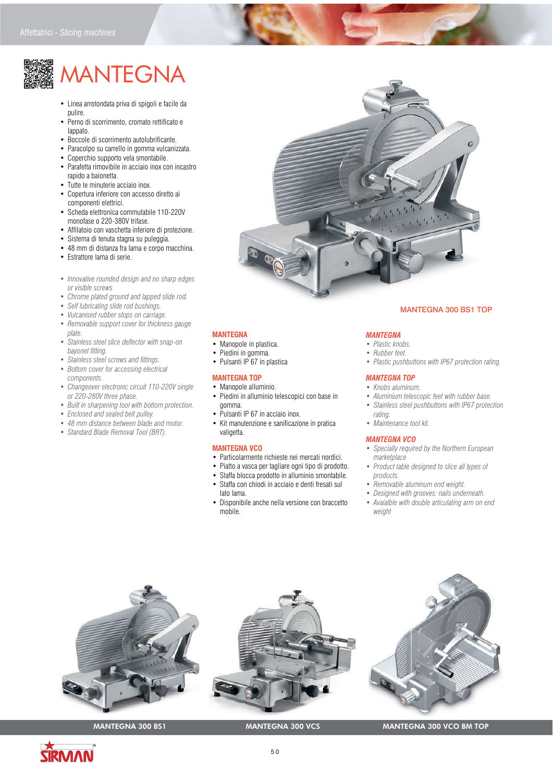# **MANTEGNA**

- Linea arrotondata priva di spigoli e facile da pulire.
- Perno di scorrimento, cromato rettificato e lappato.
- Boccole di scorrimento autolubrificante.
- Paracolpo su carrello in gomma vulcanizzata.
- Coperchio supporto vela smontabile.
- Parafetta rimovibile in acciaio inox con incastro rapido a baionetta.
- Tutte le minuterie acciaio inox.
- Copertura inferiore con accesso diretto ai componenti elettrici.
- Scheda elettronica commutabile 110-220V monofase o 220-380V trifase.
- Affilatoio con vaschetta inferiore di protezione.
- Sistema di tenuta stagna su puleggia.
- 48 mm di distanza fra lama e corpo macchina.
- Estrattore lama di serie.
- *Innovative rounded design and no sharp edges or visible screws*
- *Chrome plated ground and lapped slide rod.*
- *Self lubricating slide rod bushings.*
- *Vulcanised rubber stops on carriage.*
- *Removable support cover for thickness gauge plate.*
- *Stainless steel slice deflector with snap-on bayonet fitting.*
- *Stainless steel screws and fittings.*
- *Bottom cover for accessing electrical*
- *components. • Changeover electronic circuit 110-220V single or 220-280V three phase.*
- *Built in sharpening tool with bottom protection.*
- *Enclosed and sealed belt pulley.*
- *48 mm distance between blade and motor.*
- 
- *Standard Blade Removal Tool (BRT).*



# MANTEGNA 300 BS1 TOP

# **MANTEGNA**

- Manopole in plastica.
- Piedini in gomma.
- Pulsanti IP 67 in plastica

# **MANTEGNA TOP**

- Manopole alluminio. • Piedini in alluminio telescopici con base in
- gomma.
- Pulsanti IP 67 in acciaio inox.
- Kit manutenzione e sanificazione in pratica valigetta.

### **MANTEGNA VCO**

- Particolarmente richieste nei mercati nordici.
- Piatto a vasca per tagliare ogni tipo di prodotto.
- Staffa blocca prodotto in alluminio smontabile.
- Staffa con chiodi in acciaio e denti fresati sul
- lato lama.
- Disponibile anche nella versione con braccetto mobile.

# *MANTEGNA*

- *Plastic knobs.*
- *Rubber feet. • Plastic pushbuttons with IP67 protection rating.*
- 

# *MANTEGNA TOP*

- *Knobs aluminum.*
- *Aluminium telescopic feet with rubber base.*
- *Stainless steel pushbuttons with IP67 protection rating.*
- *Maintenance tool kit.*

## *MANTEGNA VCO*

- *Specially required by the Northern European marketplace*
- *Product table designed to slice all types of products.*
- *Removable aluminum end weight.*
- *Designed with grooves: nails underneath.*
- *Avaialble with double articulating arm on end weight*



# MANTEGNA 300 BS1 MANTEGNA 300 VCS MANTEGNA 300 VCO BM TOP